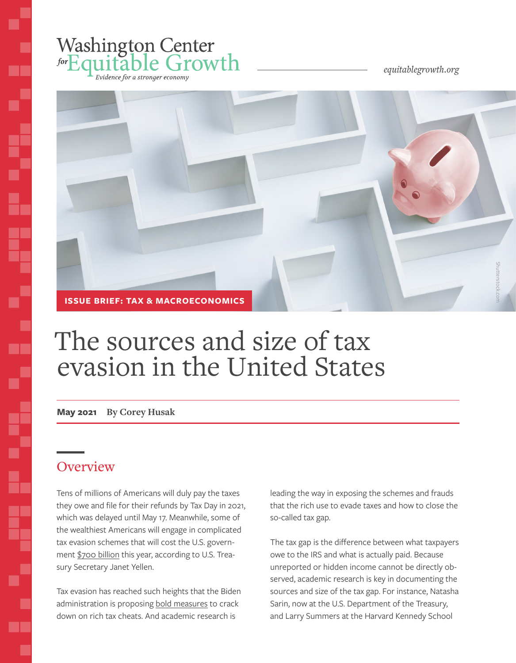## Washington Center<br>forEquitable Growth .<br>Evidence for a stronger economy

*equitablegrowth.org*



# The sources and size of tax evasion in the United States

**May 2021 By Corey Husak**

## **Overview**

Ś

ī.

į

T I

Tens of millions of Americans will duly pay the taxes they owe and file for their refunds by Tax Day in 2021, which was delayed until May 17. Meanwhile, some of the wealthiest Americans will engage in complicated tax evasion schemes that will cost the U.S. government [\\$700 billion](https://www.businessinsider.com/yellen-shocking-7-trillion-in-taxes-uncollected-treasury-federal-government-2021-5) this year, according to U.S. Treasury Secretary Janet Yellen.

Tax evasion has reached such heights that the Biden administration is proposing [bold measures](https://www.nytimes.com/2021/04/27/business/economy/biden-american-families-plan.html) to crack down on rich tax cheats. And academic research is

leading the way in exposing the schemes and frauds that the rich use to evade taxes and how to close the so-called tax gap.

The tax gap is the difference between what taxpayers owe to the IRS and what is actually paid. Because unreported or hidden income cannot be directly observed, academic research is key in documenting the sources and size of the tax gap. For instance, Natasha Sarin, now at the U.S. Department of the Treasury, and Larry Summers at the Harvard Kennedy School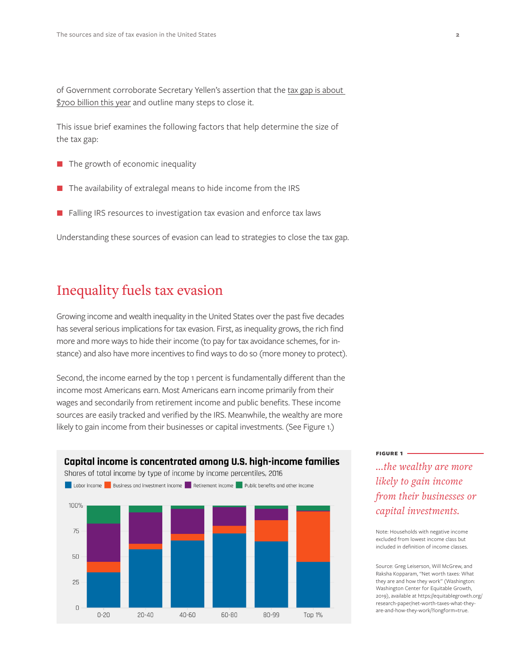of Government corroborate Secretary Yellen's assertion that the tax gap is about [\\$700 billion this year](https://www.nber.org/system/files/working_papers/w26475/w26475.pdf) and outline many steps to close it.

This issue brief examines the following factors that help determine the size of the tax gap:

- $\blacksquare$  The growth of economic inequality
- The availability of extralegal means to hide income from the IRS
- Falling IRS resources to investigation tax evasion and enforce tax laws

Understanding these sources of evasion can lead to strategies to close the tax gap.

### Inequality fuels tax evasion

Growing income and wealth inequality in the United States over the past five decades has several serious implications for tax evasion. First, as inequality grows, the rich find more and more ways to hide their income (to pay for tax avoidance schemes, for instance) and also have more incentives to find ways to do so (more money to protect).

Second, the income earned by the top 1 percent is fundamentally different than the income most Americans earn. Most Americans earn income primarily from their wages and secondarily from retirement income and public benefits. These income sources are easily tracked and verified by the IRS. Meanwhile, the wealthy are more likely to gain income from their businesses or capital investments. (See Figure 1.)



#### **Figure 1**

*...the wealthy are more likely to gain income from their businesses or capital investments.*

Note: Households with negative income excluded from lowest income class but included in definition of income classes.

Source: Greg Leiserson, Will McGrew, and Raksha Kopparam, "Net worth taxes: What they are and how they work" (Washington: Washington Center for Equitable Growth, 2019), available at https://equitablegrowth.org/ research-paper/net-worth-taxes-what-theyare-and-how-they-work/?longform=true.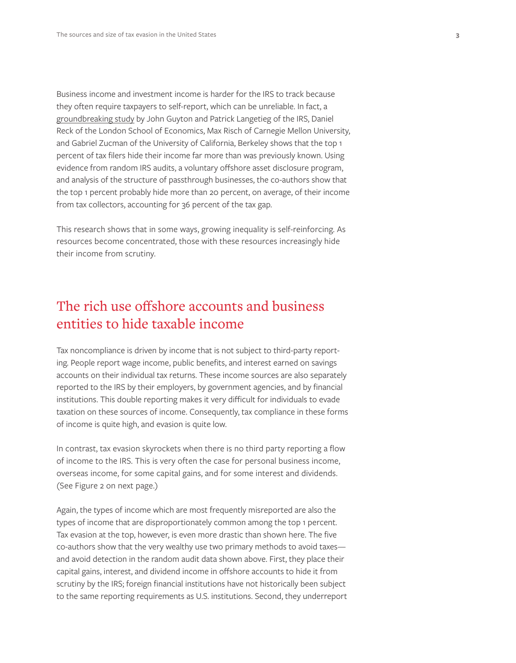Business income and investment income is harder for the IRS to track because they often require taxpayers to self-report, which can be unreliable. In fact, a [groundbreaking study](https://equitablegrowth.org/tax-evasion-at-the-top-of-the-u-s-income-distribution-and-how-to-fight-it/) by John Guyton and Patrick Langetieg of the IRS, Daniel Reck of the London School of Economics, Max Risch of Carnegie Mellon University, and Gabriel Zucman of the University of California, Berkeley shows that the top 1 percent of tax filers hide their income far more than was previously known. Using evidence from random IRS audits, a voluntary offshore asset disclosure program, and analysis of the structure of passthrough businesses, the co-authors show that the top 1 percent probably hide more than 20 percent, on average, of their income from tax collectors, accounting for 36 percent of the tax gap.

This research shows that in some ways, growing inequality is self-reinforcing. As resources become concentrated, those with these resources increasingly hide their income from scrutiny.

## The rich use offshore accounts and business entities to hide taxable income

Tax noncompliance is driven by income that is not subject to third-party reporting. People report wage income, public benefits, and interest earned on savings accounts on their individual tax returns. These income sources are also separately reported to the IRS by their employers, by government agencies, and by financial institutions. This double reporting makes it very difficult for individuals to evade taxation on these sources of income. Consequently, tax compliance in these forms of income is quite high, and evasion is quite low.

In contrast, tax evasion skyrockets when there is no third party reporting a flow of income to the IRS. This is very often the case for personal business income, overseas income, for some capital gains, and for some interest and dividends. (See Figure 2 on next page.)

Again, the types of income which are most frequently misreported are also the types of income that are disproportionately common among the top 1 percent. Tax evasion at the top, however, is even more drastic than shown here. The five co-authors show that the very wealthy use two primary methods to avoid taxes and avoid detection in the random audit data shown above. First, they place their capital gains, interest, and dividend income in offshore accounts to hide it from scrutiny by the IRS; foreign financial institutions have not historically been subject to the same reporting requirements as U.S. institutions. Second, they underreport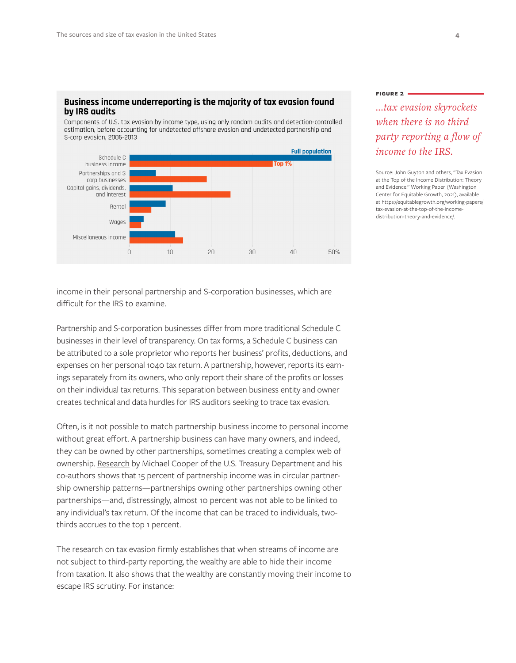#### Business income underreporting is the majority of tax evasion found by IRS audits

Components of U.S. tax evasion by income type, using only random audits and detection-controlled estimation, before accounting for undetected offshore evasion and undetected partnership and S-corp evasion, 2006-2013



income in their personal partnership and S-corporation businesses, which are difficult for the IRS to examine.

Partnership and S-corporation businesses differ from more traditional Schedule C businesses in their level of transparency. On tax forms, a Schedule C business can be attributed to a sole proprietor who reports her business' profits, deductions, and expenses on her personal 1040 tax return. A partnership, however, reports its earnings separately from its owners, who only report their share of the profits or losses on their individual tax returns. This separation between business entity and owner creates technical and data hurdles for IRS auditors seeking to trace tax evasion.

Often, is it not possible to match partnership business income to personal income without great effort. A partnership business can have many owners, and indeed, they can be owned by other partnerships, sometimes creating a complex web of ownership. Research by Michael Cooper of the U.S. Treasury Department and his co-authors shows that 15 percent of partnership income was in circular partnership ownership patterns—partnerships owning other partnerships owning other partnerships—and, distressingly, almost 10 percent was not able to be linked to any individual's tax return. Of the income that can be traced to individuals, twothirds accrues to the top 1 percent.

The research on tax evasion firmly establishes that when streams of income are not subject to third-party reporting, the wealthy are able to hide their income from taxation. It also shows that the wealthy are constantly moving their income to escape IRS scrutiny. For instance:

#### **Figure 2**

*...tax evasion skyrockets when there is no third party reporting a flow of income to the IRS.*

Source: John Guyton and others, "Tax Evasion at the Top of the Income Distribution: Theory and Evidence." Working Paper (Washington Center for Equitable Growth, 2021), available at https://equitablegrowth.org/working-papers/ tax-evasion-at-the-top-of-the-incomedistribution-theory-and-evidence/.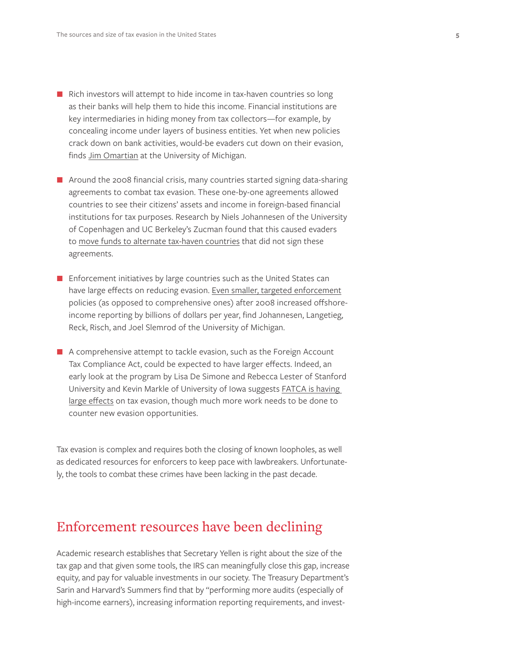- $\blacksquare$  Rich investors will attempt to hide income in tax-haven countries so long as their banks will help them to hide this income. Financial institutions are key intermediaries in hiding money from tax collectors—for example, by concealing income under layers of business entities. Yet when new policies crack down on bank activities, would-be evaders cut down on their evasion, finds [Jim Omartian](https://som.yale.edu/sites/default/files/files/Omartian-Panama%20Papers.pdf) at the University of Michigan.
- **A** Around the 2008 financial crisis, many countries started signing data-sharing agreements to combat tax evasion. These one-by-one agreements allowed countries to see their citizens' assets and income in foreign-based financial institutions for tax purposes. Research by Niels Johannesen of the University of Copenhagen and UC Berkeley's Zucman found that this caused evaders to [move funds to alternate tax-haven countries](http://nielsjohannesen.net/wp-content/uploads/Johannesen_Zucman_AEJPOL_2014_The-end-of-bank-secrecy_PUBLISHED.pdf) that did not sign these agreements.
- **Enforcement initiatives by large countries such as the United States can** have large effects on reducing evasion. [Even smaller, targeted enforcement](https://www.danreck.com/s/FBAR.pdf) policies (as opposed to comprehensive ones) after 2008 increased offshoreincome reporting by billions of dollars per year, find Johannesen, Langetieg, Reck, Risch, and Joel Slemrod of the University of Michigan.
- A comprehensive attempt to tackle evasion, such as the Foreign Account Tax Compliance Act, could be expected to have larger effects. Indeed, an early look at the program by Lisa De Simone and Rebecca Lester of Stanford University and Kevin Markle of University of Iowa suggests [FATCA is having](https://onlinelibrary.wiley.com/doi/pdf/10.1111/1475-679X.12293?casa_token=F2Eghb_7ABAAAAAA:XFq2Bs3OfXNk_o68ed5FW5aVOd-GPskznNfeFa4oT3QXczoxIGylYL4qZbPHZPMr56Ujq7qkS7v40WM)  [large effects](https://onlinelibrary.wiley.com/doi/pdf/10.1111/1475-679X.12293?casa_token=F2Eghb_7ABAAAAAA:XFq2Bs3OfXNk_o68ed5FW5aVOd-GPskznNfeFa4oT3QXczoxIGylYL4qZbPHZPMr56Ujq7qkS7v40WM) on tax evasion, though much more work needs to be done to counter new evasion opportunities.

Tax evasion is complex and requires both the closing of known loopholes, as well as dedicated resources for enforcers to keep pace with lawbreakers. Unfortunately, the tools to combat these crimes have been lacking in the past decade.

## Enforcement resources have been declining

Academic research establishes that Secretary Yellen is right about the size of the tax gap and that given some tools, the IRS can meaningfully close this gap, increase equity, and pay for valuable investments in our society. The Treasury Department's Sarin and Harvard's Summers find that by "performing more audits (especially of high-income earners), increasing information reporting requirements, and invest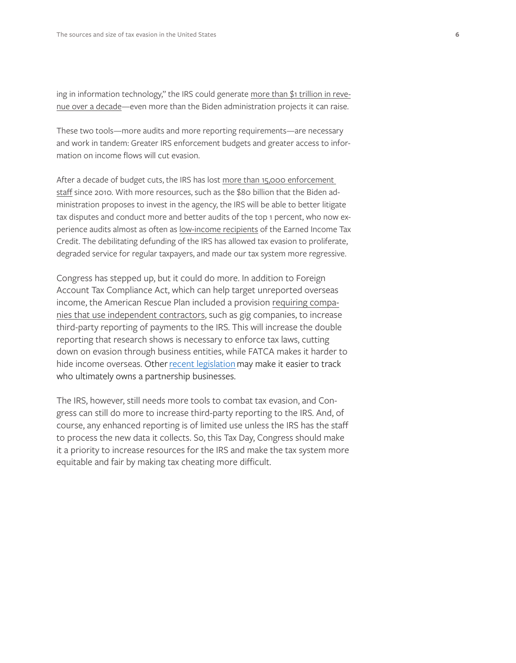ing in information technology," the IRS could generate [more than \\$1 trillion in reve](https://www.nber.org/papers/w26475)[nue](https://www.nber.org/papers/w26475) over a decade—even more than the Biden administration projects it can raise.

These two tools—more audits and more reporting requirements—are necessary and work in tandem: Greater IRS enforcement budgets and greater access to information on income flows will cut evasion.

After a decade of budget cuts, the IRS has lost more than 15,000 enforcement [staff](https://www.reuters.com/article/us-usa-tax-idUSKBN2BA2R2) since 2010. With more resources, such as the \$80 billion that the Biden administration proposes to invest in the agency, the IRS will be able to better litigate tax disputes and conduct more and better audits of the top 1 percent, who now experience audits almost as often as [low-income recipients](https://www.propublica.org/article/irs-now-audits-poor-americans-at-about-the-same-rate-as-the-top-1-percent) of the Earned Income Tax Credit. The debilitating defunding of the IRS has allowed tax evasion to proliferate, degraded service for regular taxpayers, and made our tax system more regressive.

Congress has stepped up, but it could do more. In addition to Foreign Account Tax Compliance Act, which can help target unreported overseas income, the American Rescue Plan included a provision [requiring compa](https://news.bloombergtax.com/daily-tax-report/the-stimulus-laws-gig-economy-tax-provision-explained)[nies that use independent contractors](https://news.bloombergtax.com/daily-tax-report/the-stimulus-laws-gig-economy-tax-provision-explained), such as gig companies, to increase third-party reporting of payments to the IRS. This will increase the double reporting that research shows is necessary to enforce tax laws, cutting down on evasion through business entities, while FATCA makes it harder to hide income overseas. Other [recent legislation](https://www.rollcall.com/2020/12/15/congress-ready-to-reveal-company-owners/) may make it easier to track who ultimately owns a partnership businesses.

The IRS, however, still needs more tools to combat tax evasion, and Congress can still do more to increase third-party reporting to the IRS. And, of course, any enhanced reporting is of limited use unless the IRS has the staff to process the new data it collects. So, this Tax Day, Congress should make it a priority to increase resources for the IRS and make the tax system more equitable and fair by making tax cheating more difficult.